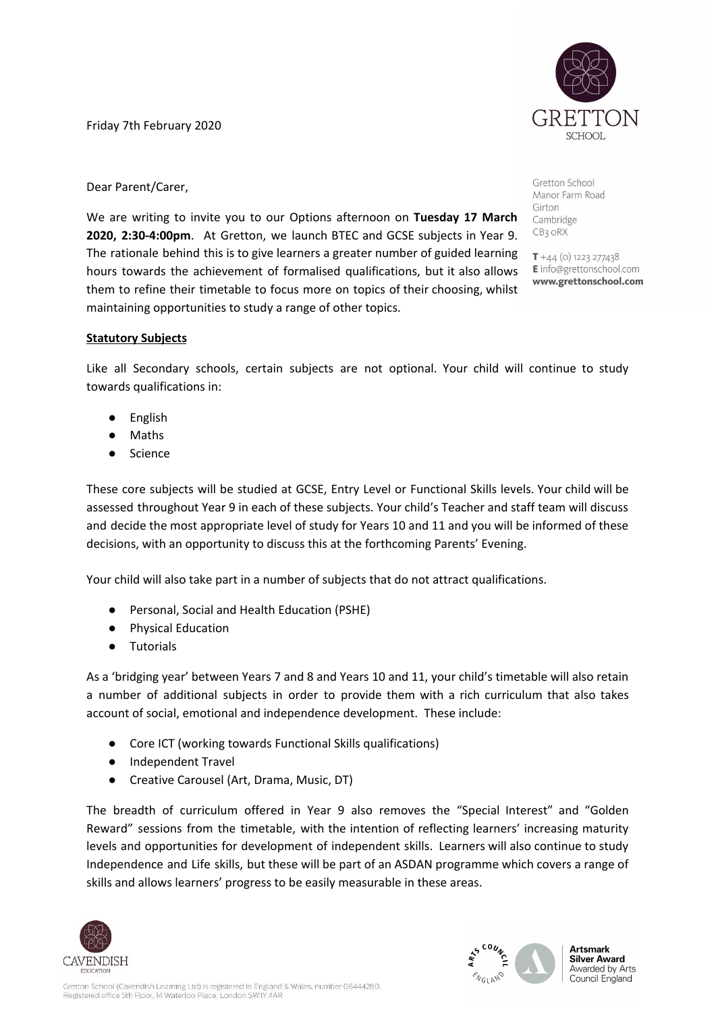Friday 7th February 2020



Dear Parent/Carer,

We are writing to invite you to our Options afternoon on **Tuesday 17 March 2020, 2:30-4:00pm**. At Gretton, we launch BTEC and GCSE subjects in Year 9. The rationale behind this is to give learners a greater number of guided learning hours towards the achievement of formalised qualifications, but it also allows them to refine their timetable to focus more on topics of their choosing, whilst maintaining opportunities to study a range of other topics.

Gretton School Manor Farm Road Girton Cambridge CB<sub>3</sub> oRX

 $T + 44$  (0) 1223 277438 E info@grettonschool.com www.grettonschool.com

## **Statutory Subjects**

Like all Secondary schools, certain subjects are not optional. Your child will continue to study towards qualifications in:

- **English**
- **Maths**
- Science

These core subjects will be studied at GCSE, Entry Level or Functional Skills levels. Your child will be assessed throughout Year 9 in each of these subjects. Your child's Teacher and staff team will discuss and decide the most appropriate level of study for Years 10 and 11 and you will be informed of these decisions, with an opportunity to discuss this at the forthcoming Parents' Evening.

Your child will also take part in a number of subjects that do not attract qualifications.

- Personal, Social and Health Education (PSHE)
- Physical Education
- Tutorials

As a 'bridging year' between Years 7 and 8 and Years 10 and 11, your child's timetable will also retain a number of additional subjects in order to provide them with a rich curriculum that also takes account of social, emotional and independence development. These include:

- Core ICT (working towards Functional Skills qualifications)
- Independent Travel
- Creative Carousel (Art, Drama, Music, DT)

The breadth of curriculum offered in Year 9 also removes the "Special Interest" and "Golden Reward" sessions from the timetable, with the intention of reflecting learners' increasing maturity levels and opportunities for development of independent skills. Learners will also continue to study Independence and Life skills, but these will be part of an ASDAN programme which covers a range of skills and allows learners' progress to be easily measurable in these areas.



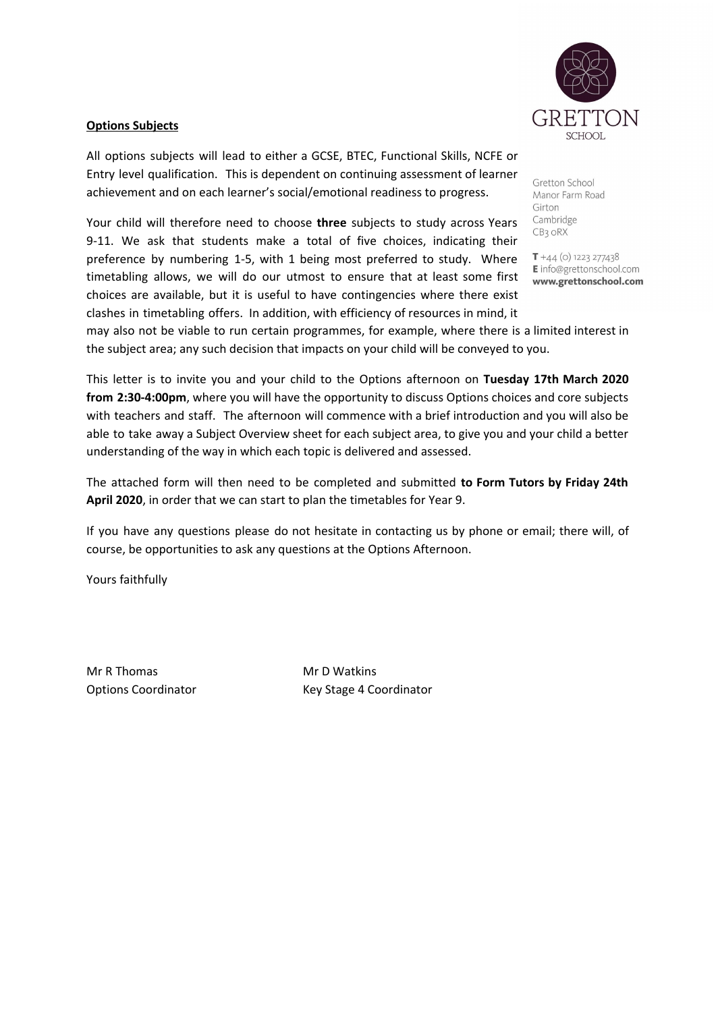

## **Options Subjects**

All options subjects will lead to either a GCSE, BTEC, Functional Skills, NCFE or Entry level qualification. This is dependent on continuing assessment of learner achievement and on each learner's social/emotional readiness to progress.

Your child will therefore need to choose **three** subjects to study across Years 9-11. We ask that students make a total of five choices, indicating their preference by numbering 1-5, with 1 being most preferred to study. Where timetabling allows, we will do our utmost to ensure that at least some first choices are available, but it is useful to have contingencies where there exist clashes in timetabling offers. In addition, with efficiency of resources in mind, it

Gretton School Manor Farm Road Girton Cambridge CB<sub>3</sub> oRX

 $T + 44$  (0) 1223 277438 E info@grettonschool.com www.grettonschool.com

may also not be viable to run certain programmes, for example, where there is a limited interest in the subject area; any such decision that impacts on your child will be conveyed to you.

This letter is to invite you and your child to the Options afternoon on **Tuesday 17th March 2020 from 2:30-4:00pm**, where you will have the opportunity to discuss Options choices and core subjects with teachers and staff. The afternoon will commence with a brief introduction and you will also be able to take away a Subject Overview sheet for each subject area, to give you and your child a better understanding of the way in which each topic is delivered and assessed.

The attached form will then need to be completed and submitted **to Form Tutors by Friday 24th April 2020**, in order that we can start to plan the timetables for Year 9.

If you have any questions please do not hesitate in contacting us by phone or email; there will, of course, be opportunities to ask any questions at the Options Afternoon.

Yours faithfully

Mr R Thomas Mr D Watkins

Options Coordinator **Key Stage 4 Coordinator**